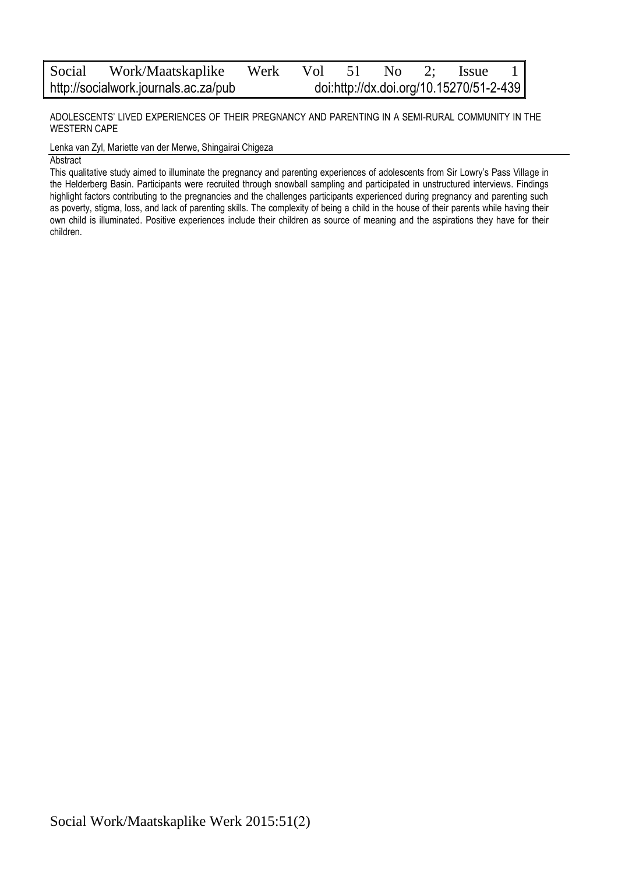ADOLESCENTS' LIVED EXPERIENCES OF THEIR PREGNANCY AND PARENTING IN A SEMI-RURAL COMMUNITY IN THE WESTERN CAPE

Lenka van Zyl, Mariette van der Merwe, Shingairai Chigeza

Abstract

This qualitative study aimed to illuminate the pregnancy and parenting experiences of adolescents from Sir Lowry's Pass Village in the Helderberg Basin. Participants were recruited through snowball sampling and participated in unstructured interviews. Findings highlight factors contributing to the pregnancies and the challenges participants experienced during pregnancy and parenting such as poverty, stigma, loss, and lack of parenting skills. The complexity of being a child in the house of their parents while having their own child is illuminated. Positive experiences include their children as source of meaning and the aspirations they have for their children.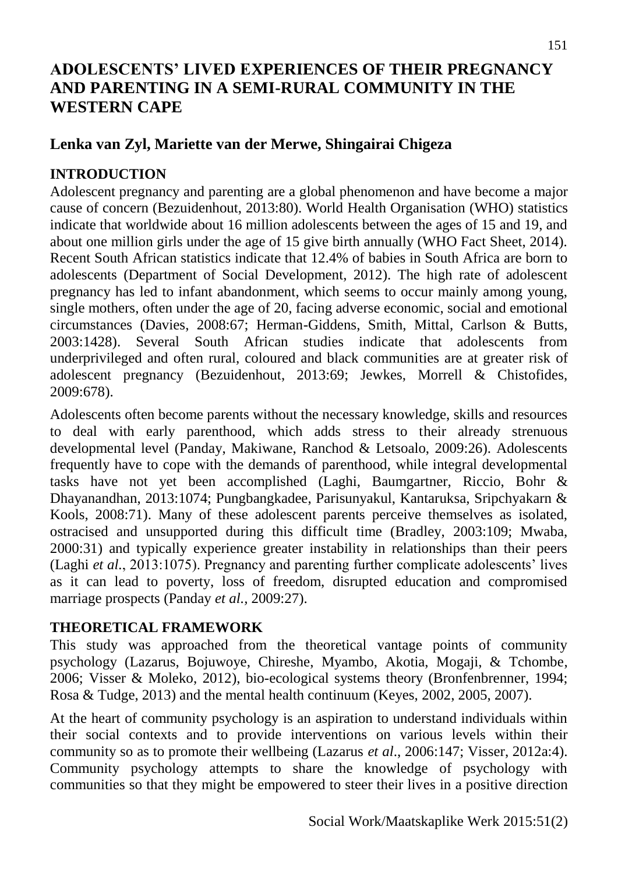# **ADOLESCENTS' LIVED EXPERIENCES OF THEIR PREGNANCY AND PARENTING IN A SEMI-RURAL COMMUNITY IN THE WESTERN CAPE**

# **Lenka van Zyl, Mariette van der Merwe, Shingairai Chigeza**

# **INTRODUCTION**

Adolescent pregnancy and parenting are a global phenomenon and have become a major cause of concern (Bezuidenhout, 2013:80). World Health Organisation (WHO) statistics indicate that worldwide about 16 million adolescents between the ages of 15 and 19, and about one million girls under the age of 15 give birth annually (WHO Fact Sheet, 2014). Recent South African statistics indicate that 12.4% of babies in South Africa are born to adolescents (Department of Social Development, 2012). The high rate of adolescent pregnancy has led to infant abandonment, which seems to occur mainly among young, single mothers, often under the age of 20, facing adverse economic, social and emotional circumstances (Davies, 2008:67; Herman-Giddens, Smith, Mittal, Carlson & Butts, 2003:1428). Several South African studies indicate that adolescents from underprivileged and often rural, coloured and black communities are at greater risk of adolescent pregnancy (Bezuidenhout, 2013:69; Jewkes, Morrell & Chistofides, 2009:678).

Adolescents often become parents without the necessary knowledge, skills and resources to deal with early parenthood, which adds stress to their already strenuous developmental level (Panday, Makiwane, Ranchod & Letsoalo, 2009:26). Adolescents frequently have to cope with the demands of parenthood, while integral developmental tasks have not yet been accomplished (Laghi, Baumgartner, Riccio, Bohr & Dhayanandhan, 2013:1074; Pungbangkadee, Parisunyakul, Kantaruksa, Sripchyakarn & Kools, 2008:71). Many of these adolescent parents perceive themselves as isolated, ostracised and unsupported during this difficult time (Bradley, 2003:109; Mwaba, 2000:31) and typically experience greater instability in relationships than their peers (Laghi *et al.*, 2013:1075). Pregnancy and parenting further complicate adolescents' lives as it can lead to poverty, loss of freedom, disrupted education and compromised marriage prospects (Panday *et al.,* 2009:27).

# **THEORETICAL FRAMEWORK**

This study was approached from the theoretical vantage points of community psychology (Lazarus, Bojuwoye, Chireshe, Myambo, Akotia, Mogaji, & Tchombe, 2006; Visser & Moleko, 2012), bio-ecological systems theory (Bronfenbrenner, 1994; Rosa & Tudge, 2013) and the mental health continuum (Keyes, 2002, 2005, 2007).

At the heart of community psychology is an aspiration to understand individuals within their social contexts and to provide interventions on various levels within their community so as to promote their wellbeing (Lazarus *et al*., 2006:147; Visser, 2012a:4). Community psychology attempts to share the knowledge of psychology with communities so that they might be empowered to steer their lives in a positive direction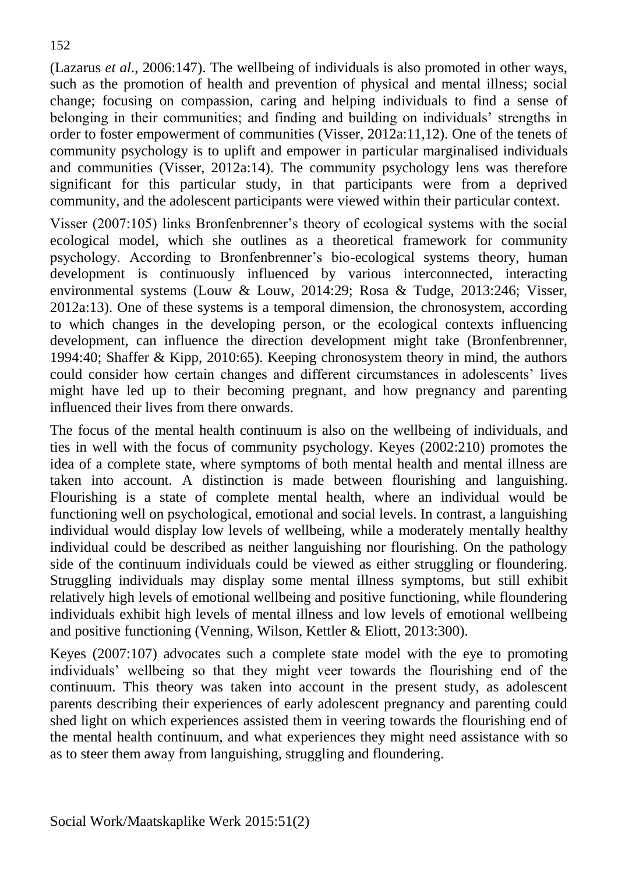(Lazarus *et al*., 2006:147). The wellbeing of individuals is also promoted in other ways, such as the promotion of health and prevention of physical and mental illness; social change; focusing on compassion, caring and helping individuals to find a sense of belonging in their communities; and finding and building on individuals' strengths in order to foster empowerment of communities (Visser, 2012a:11,12). One of the tenets of community psychology is to uplift and empower in particular marginalised individuals and communities (Visser, 2012a:14). The community psychology lens was therefore significant for this particular study, in that participants were from a deprived community, and the adolescent participants were viewed within their particular context.

Visser (2007:105) links Bronfenbrenner's theory of ecological systems with the social ecological model, which she outlines as a theoretical framework for community psychology. According to Bronfenbrenner's bio-ecological systems theory, human development is continuously influenced by various interconnected, interacting environmental systems (Louw & Louw, 2014:29; Rosa & Tudge, 2013:246; Visser, 2012a:13). One of these systems is a temporal dimension, the chronosystem, according to which changes in the developing person, or the ecological contexts influencing development, can influence the direction development might take (Bronfenbrenner, 1994:40; Shaffer & Kipp, 2010:65). Keeping chronosystem theory in mind, the authors could consider how certain changes and different circumstances in adolescents' lives might have led up to their becoming pregnant, and how pregnancy and parenting influenced their lives from there onwards.

The focus of the mental health continuum is also on the wellbeing of individuals, and ties in well with the focus of community psychology. Keyes (2002:210) promotes the idea of a complete state, where symptoms of both mental health and mental illness are taken into account. A distinction is made between flourishing and languishing. Flourishing is a state of complete mental health, where an individual would be functioning well on psychological, emotional and social levels. In contrast, a languishing individual would display low levels of wellbeing, while a moderately mentally healthy individual could be described as neither languishing nor flourishing. On the pathology side of the continuum individuals could be viewed as either struggling or floundering. Struggling individuals may display some mental illness symptoms, but still exhibit relatively high levels of emotional wellbeing and positive functioning, while floundering individuals exhibit high levels of mental illness and low levels of emotional wellbeing and positive functioning (Venning, Wilson, Kettler & Eliott, 2013:300).

Keyes (2007:107) advocates such a complete state model with the eye to promoting individuals' wellbeing so that they might veer towards the flourishing end of the continuum. This theory was taken into account in the present study, as adolescent parents describing their experiences of early adolescent pregnancy and parenting could shed light on which experiences assisted them in veering towards the flourishing end of the mental health continuum, and what experiences they might need assistance with so as to steer them away from languishing, struggling and floundering.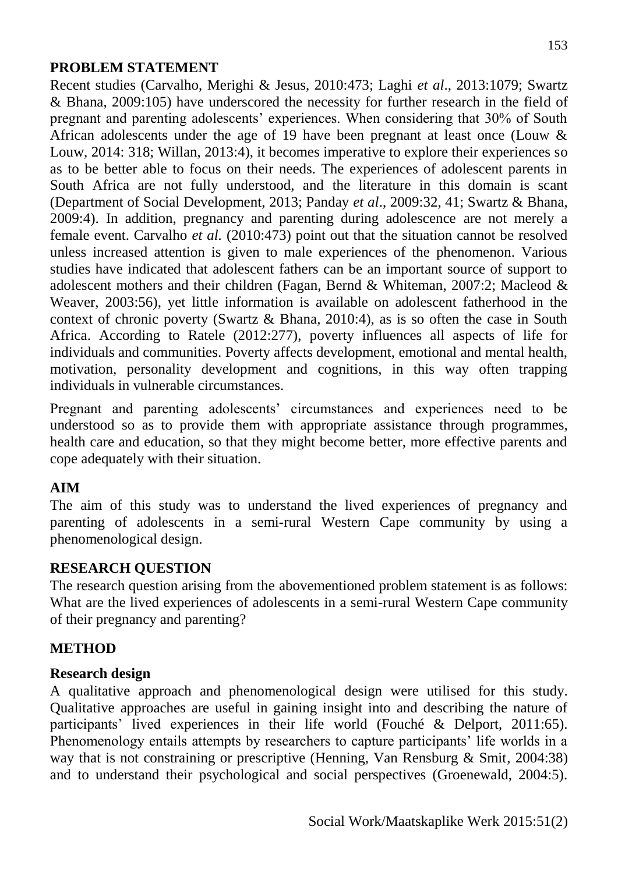# **PROBLEM STATEMENT**

Recent studies (Carvalho, Merighi & Jesus, 2010:473; Laghi *et al*., 2013:1079; Swartz & Bhana, 2009:105) have underscored the necessity for further research in the field of pregnant and parenting adolescents' experiences. When considering that 30% of South African adolescents under the age of 19 have been pregnant at least once (Louw & Louw, 2014: 318; Willan, 2013:4), it becomes imperative to explore their experiences so as to be better able to focus on their needs. The experiences of adolescent parents in South Africa are not fully understood, and the literature in this domain is scant (Department of Social Development, 2013; Panday *et al*., 2009:32, 41; Swartz & Bhana, 2009:4). In addition, pregnancy and parenting during adolescence are not merely a female event. Carvalho *et al.* (2010:473) point out that the situation cannot be resolved unless increased attention is given to male experiences of the phenomenon. Various studies have indicated that adolescent fathers can be an important source of support to adolescent mothers and their children (Fagan, Bernd & Whiteman, 2007:2; Macleod & Weaver, 2003:56), yet little information is available on adolescent fatherhood in the context of chronic poverty (Swartz & Bhana, 2010:4), as is so often the case in South Africa. According to Ratele (2012:277), poverty influences all aspects of life for individuals and communities. Poverty affects development, emotional and mental health, motivation, personality development and cognitions, in this way often trapping individuals in vulnerable circumstances.

Pregnant and parenting adolescents' circumstances and experiences need to be understood so as to provide them with appropriate assistance through programmes, health care and education, so that they might become better, more effective parents and cope adequately with their situation.

#### **AIM**

The aim of this study was to understand the lived experiences of pregnancy and parenting of adolescents in a semi-rural Western Cape community by using a phenomenological design.

#### **RESEARCH QUESTION**

The research question arising from the abovementioned problem statement is as follows: What are the lived experiences of adolescents in a semi-rural Western Cape community of their pregnancy and parenting?

# **METHOD**

# **Research design**

A qualitative approach and phenomenological design were utilised for this study. Qualitative approaches are useful in gaining insight into and describing the nature of participants' lived experiences in their life world (Fouché & Delport, 2011:65). Phenomenology entails attempts by researchers to capture participants' life worlds in a way that is not constraining or prescriptive (Henning, Van Rensburg & Smit, 2004:38) and to understand their psychological and social perspectives (Groenewald, 2004:5).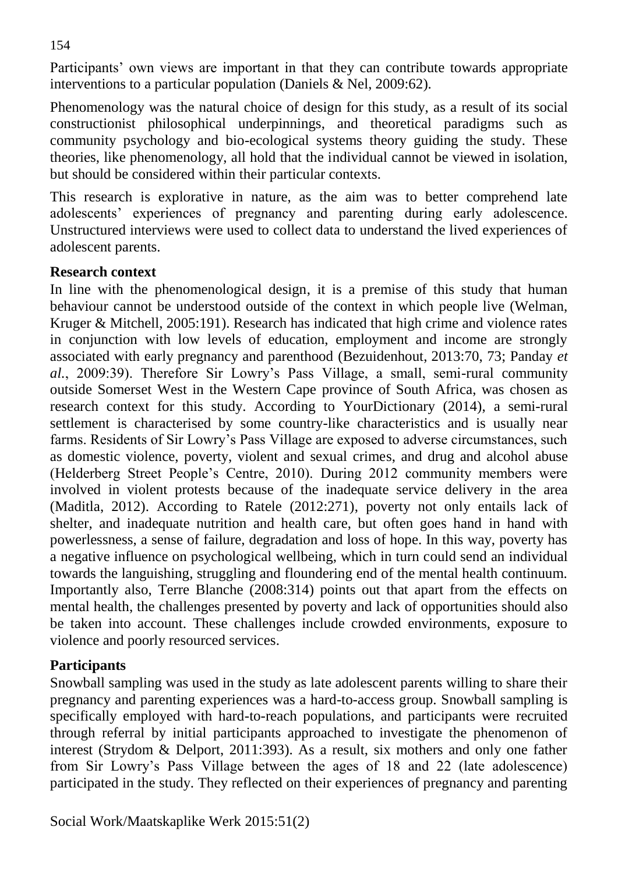Participants' own views are important in that they can contribute towards appropriate interventions to a particular population (Daniels & Nel, 2009:62).

Phenomenology was the natural choice of design for this study, as a result of its social constructionist philosophical underpinnings, and theoretical paradigms such as community psychology and bio-ecological systems theory guiding the study. These theories, like phenomenology, all hold that the individual cannot be viewed in isolation, but should be considered within their particular contexts.

This research is explorative in nature, as the aim was to better comprehend late adolescents' experiences of pregnancy and parenting during early adolescence. Unstructured interviews were used to collect data to understand the lived experiences of adolescent parents.

#### **Research context**

In line with the phenomenological design, it is a premise of this study that human behaviour cannot be understood outside of the context in which people live (Welman, Kruger & Mitchell, 2005:191). Research has indicated that high crime and violence rates in conjunction with low levels of education, employment and income are strongly associated with early pregnancy and parenthood (Bezuidenhout, 2013:70, 73; Panday *et al.*, 2009:39). Therefore Sir Lowry's Pass Village, a small, semi-rural community outside Somerset West in the Western Cape province of South Africa, was chosen as research context for this study. According to YourDictionary (2014), a semi-rural settlement is characterised by some country-like characteristics and is usually near farms. Residents of Sir Lowry's Pass Village are exposed to adverse circumstances, such as domestic violence, poverty, violent and sexual crimes, and drug and alcohol abuse (Helderberg Street People's Centre, 2010). During 2012 community members were involved in violent protests because of the inadequate service delivery in the area (Maditla, 2012). According to Ratele (2012:271), poverty not only entails lack of shelter, and inadequate nutrition and health care, but often goes hand in hand with powerlessness, a sense of failure, degradation and loss of hope. In this way, poverty has a negative influence on psychological wellbeing, which in turn could send an individual towards the languishing, struggling and floundering end of the mental health continuum. Importantly also, Terre Blanche (2008:314) points out that apart from the effects on mental health, the challenges presented by poverty and lack of opportunities should also be taken into account. These challenges include crowded environments, exposure to violence and poorly resourced services.

# **Participants**

Snowball sampling was used in the study as late adolescent parents willing to share their pregnancy and parenting experiences was a hard-to-access group. Snowball sampling is specifically employed with hard-to-reach populations, and participants were recruited through referral by initial participants approached to investigate the phenomenon of interest (Strydom & Delport, 2011:393). As a result, six mothers and only one father from Sir Lowry's Pass Village between the ages of 18 and 22 (late adolescence) participated in the study. They reflected on their experiences of pregnancy and parenting

154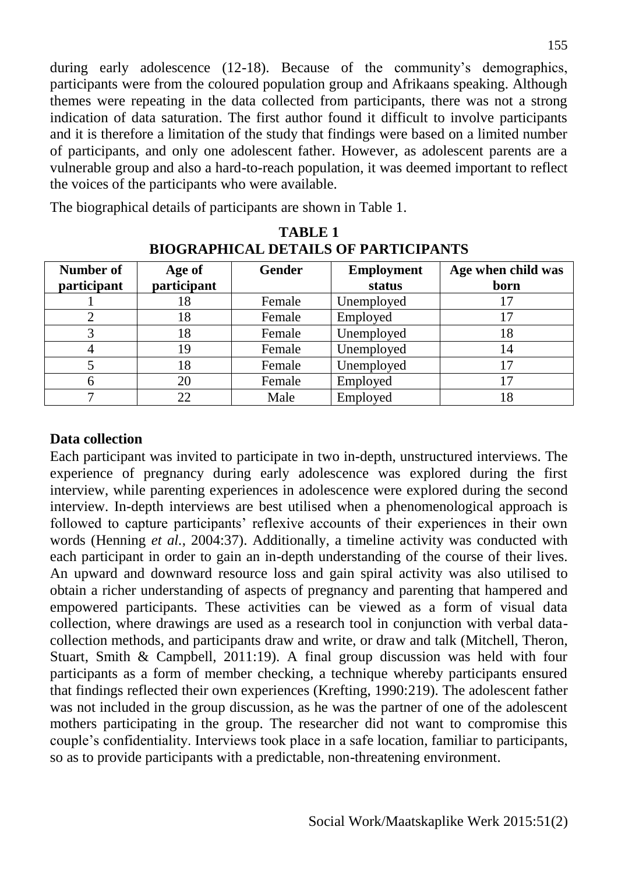during early adolescence (12-18). Because of the community's demographics, participants were from the coloured population group and Afrikaans speaking. Although themes were repeating in the data collected from participants, there was not a strong indication of data saturation. The first author found it difficult to involve participants and it is therefore a limitation of the study that findings were based on a limited number of participants, and only one adolescent father. However, as adolescent parents are a vulnerable group and also a hard-to-reach population, it was deemed important to reflect the voices of the participants who were available.

The biographical details of participants are shown in Table 1.

| Number of<br>participant | Age of<br>participant | <b>Gender</b> | <b>Employment</b><br>status | Age when child was<br>born |
|--------------------------|-----------------------|---------------|-----------------------------|----------------------------|
|                          | 18                    | Female        | Unemployed                  |                            |
|                          | 18                    | Female        | Employed                    |                            |
|                          | 18                    | Female        | Unemployed                  | 18                         |
|                          | 19                    | Female        | Unemployed                  | 14                         |
|                          | 18                    | Female        | Unemployed                  |                            |
|                          | 20                    | Female        | Employed                    |                            |
|                          | 22                    | Male          | Employed                    | 18                         |

**TABLE 1 BIOGRAPHICAL DETAILS OF PARTICIPANTS** 

# **Data collection**

Each participant was invited to participate in two in-depth, unstructured interviews. The experience of pregnancy during early adolescence was explored during the first interview, while parenting experiences in adolescence were explored during the second interview. In-depth interviews are best utilised when a phenomenological approach is followed to capture participants' reflexive accounts of their experiences in their own words (Henning *et al.*, 2004:37). Additionally, a timeline activity was conducted with each participant in order to gain an in-depth understanding of the course of their lives. An upward and downward resource loss and gain spiral activity was also utilised to obtain a richer understanding of aspects of pregnancy and parenting that hampered and empowered participants. These activities can be viewed as a form of visual data collection, where drawings are used as a research tool in conjunction with verbal datacollection methods, and participants draw and write, or draw and talk (Mitchell, Theron, Stuart, Smith & Campbell, 2011:19). A final group discussion was held with four participants as a form of member checking, a technique whereby participants ensured that findings reflected their own experiences (Krefting, 1990:219). The adolescent father was not included in the group discussion, as he was the partner of one of the adolescent mothers participating in the group. The researcher did not want to compromise this couple's confidentiality. Interviews took place in a safe location, familiar to participants, so as to provide participants with a predictable, non-threatening environment.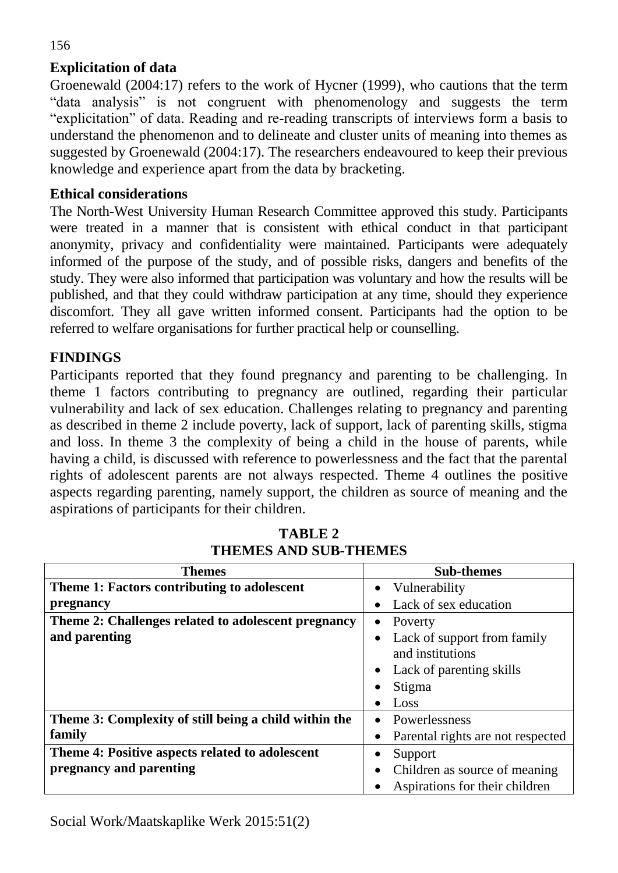# **Explicitation of data**

Groenewald (2004:17) refers to the work of Hycner (1999), who cautions that the term "data analysis" is not congruent with phenomenology and suggests the term "explicitation" of data. Reading and re-reading transcripts of interviews form a basis to understand the phenomenon and to delineate and cluster units of meaning into themes as suggested by Groenewald (2004:17). The researchers endeavoured to keep their previous knowledge and experience apart from the data by bracketing.

#### **Ethical considerations**

The North-West University Human Research Committee approved this study. Participants were treated in a manner that is consistent with ethical conduct in that participant anonymity, privacy and confidentiality were maintained. Participants were adequately informed of the purpose of the study, and of possible risks, dangers and benefits of the study. They were also informed that participation was voluntary and how the results will be published, and that they could withdraw participation at any time, should they experience discomfort. They all gave written informed consent. Participants had the option to be referred to welfare organisations for further practical help or counselling.

# **FINDINGS**

Participants reported that they found pregnancy and parenting to be challenging. In theme 1 factors contributing to pregnancy are outlined, regarding their particular vulnerability and lack of sex education. Challenges relating to pregnancy and parenting as described in theme 2 include poverty, lack of support, lack of parenting skills, stigma and loss. In theme 3 the complexity of being a child in the house of parents, while having a child, is discussed with reference to powerlessness and the fact that the parental rights of adolescent parents are not always respected. Theme 4 outlines the positive aspects regarding parenting, namely support, the children as source of meaning and the aspirations of participants for their children.

| <b>Themes</b>                                         | <b>Sub-themes</b>                 |  |
|-------------------------------------------------------|-----------------------------------|--|
| Theme 1: Factors contributing to adolescent           | Vulnerability<br>$\bullet$        |  |
| pregnancy                                             | Lack of sex education             |  |
| Theme 2: Challenges related to adolescent pregnancy   | Poverty<br>$\bullet$              |  |
| and parenting                                         | Lack of support from family       |  |
|                                                       | and institutions                  |  |
|                                                       | Lack of parenting skills          |  |
|                                                       | Stigma                            |  |
|                                                       | Loss                              |  |
| Theme 3: Complexity of still being a child within the | Powerlessness                     |  |
| family                                                | Parental rights are not respected |  |
| Theme 4: Positive aspects related to adolescent       | Support                           |  |
| pregnancy and parenting                               | Children as source of meaning     |  |
|                                                       | Aspirations for their children    |  |

**TABLE 2 THEMES AND SUB-THEMES**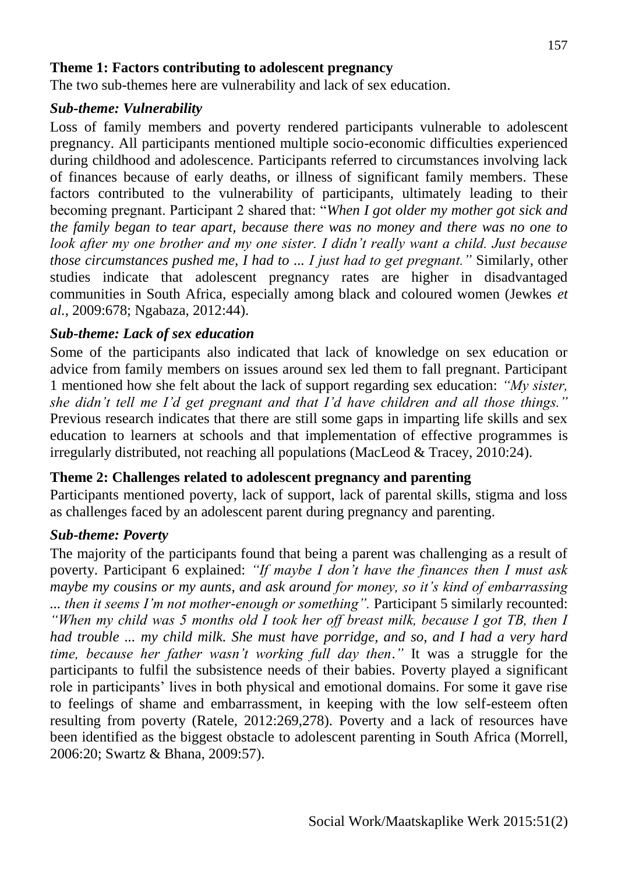#### **Theme 1: Factors contributing to adolescent pregnancy**

The two sub-themes here are vulnerability and lack of sex education.

#### *Sub-theme: Vulnerability*

Loss of family members and poverty rendered participants vulnerable to adolescent pregnancy. All participants mentioned multiple socio-economic difficulties experienced during childhood and adolescence. Participants referred to circumstances involving lack of finances because of early deaths, or illness of significant family members. These factors contributed to the vulnerability of participants, ultimately leading to their becoming pregnant. Participant 2 shared that: "*When I got older my mother got sick and the family began to tear apart, because there was no money and there was no one to look after my one brother and my one sister. I didn't really want a child. Just because those circumstances pushed me, I had to ... I just had to get pregnant."* Similarly, other studies indicate that adolescent pregnancy rates are higher in disadvantaged communities in South Africa, especially among black and coloured women (Jewkes *et al.*, 2009:678; Ngabaza, 2012:44).

#### *Sub-theme: Lack of sex education*

Some of the participants also indicated that lack of knowledge on sex education or advice from family members on issues around sex led them to fall pregnant. Participant 1 mentioned how she felt about the lack of support regarding sex education: *"My sister, she didn't tell me I'd get pregnant and that I'd have children and all those things."* Previous research indicates that there are still some gaps in imparting life skills and sex education to learners at schools and that implementation of effective programmes is irregularly distributed, not reaching all populations (MacLeod & Tracey, 2010:24).

#### **Theme 2: Challenges related to adolescent pregnancy and parenting**

Participants mentioned poverty, lack of support, lack of parental skills, stigma and loss as challenges faced by an adolescent parent during pregnancy and parenting.

#### *Sub-theme: Poverty*

The majority of the participants found that being a parent was challenging as a result of poverty. Participant 6 explained: *"If maybe I don't have the finances then I must ask maybe my cousins or my aunts, and ask around for money, so it's kind of embarrassing ... then it seems I'm not mother-enough or something".* Participant 5 similarly recounted: *"When my child was 5 months old I took her off breast milk, because I got TB, then I had trouble ... my child milk. She must have porridge, and so, and I had a very hard time, because her father wasn't working full day then*.*"* It was a struggle for the participants to fulfil the subsistence needs of their babies. Poverty played a significant role in participants' lives in both physical and emotional domains. For some it gave rise to feelings of shame and embarrassment, in keeping with the low self-esteem often resulting from poverty (Ratele, 2012:269,278). Poverty and a lack of resources have been identified as the biggest obstacle to adolescent parenting in South Africa (Morrell, 2006:20; Swartz & Bhana, 2009:57).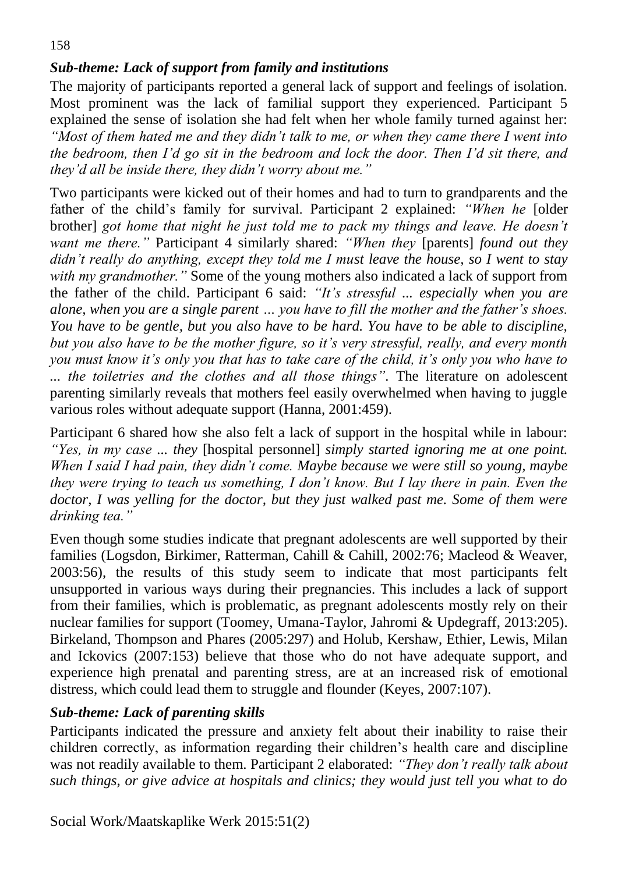# *Sub-theme: Lack of support from family and institutions*

The majority of participants reported a general lack of support and feelings of isolation. Most prominent was the lack of familial support they experienced. Participant 5 explained the sense of isolation she had felt when her whole family turned against her: *"Most of them hated me and they didn't talk to me, or when they came there I went into the bedroom, then I'd go sit in the bedroom and lock the door. Then I'd sit there, and they'd all be inside there, they didn't worry about me."*

Two participants were kicked out of their homes and had to turn to grandparents and the father of the child's family for survival. Participant 2 explained: *"When he* [older brother] *got home that night he just told me to pack my things and leave. He doesn't want me there."* Participant 4 similarly shared: *"When they* [parents] *found out they didn't really do anything, except they told me I must leave the house, so I went to stay with my grandmother.*" Some of the young mothers also indicated a lack of support from the father of the child. Participant 6 said: *"It's stressful ... especially when you are alone, when you are a single parent … you have to fill the mother and the father's shoes. You have to be gentle, but you also have to be hard. You have to be able to discipline, but you also have to be the mother figure, so it's very stressful, really, and every month you must know it's only you that has to take care of the child, it's only you who have to ... the toiletries and the clothes and all those things".* The literature on adolescent parenting similarly reveals that mothers feel easily overwhelmed when having to juggle various roles without adequate support (Hanna, 2001:459).

Participant 6 shared how she also felt a lack of support in the hospital while in labour: *"Yes, in my case ... they* [hospital personnel] *simply started ignoring me at one point. When I said I had pain, they didn't come. Maybe because we were still so young, maybe they were trying to teach us something, I don't know. But I lay there in pain. Even the doctor, I was yelling for the doctor, but they just walked past me. Some of them were drinking tea."*

Even though some studies indicate that pregnant adolescents are well supported by their families (Logsdon, Birkimer, Ratterman, Cahill & Cahill, 2002:76; Macleod & Weaver, 2003:56), the results of this study seem to indicate that most participants felt unsupported in various ways during their pregnancies. This includes a lack of support from their families, which is problematic, as pregnant adolescents mostly rely on their nuclear families for support (Toomey, Umana-Taylor, Jahromi & Updegraff, 2013:205). Birkeland, Thompson and Phares (2005:297) and Holub, Kershaw, Ethier, Lewis, Milan and Ickovics (2007:153) believe that those who do not have adequate support, and experience high prenatal and parenting stress, are at an increased risk of emotional distress, which could lead them to struggle and flounder (Keyes, 2007:107).

# *Sub-theme: Lack of parenting skills*

Participants indicated the pressure and anxiety felt about their inability to raise their children correctly, as information regarding their children's health care and discipline was not readily available to them. Participant 2 elaborated: *"They don't really talk about such things, or give advice at hospitals and clinics; they would just tell you what to do*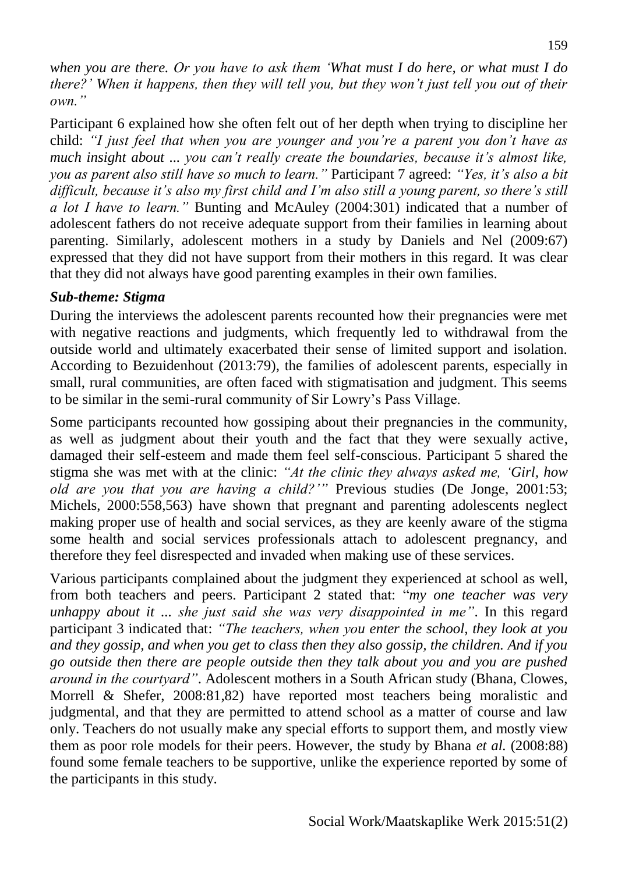*when you are there. Or you have to ask them 'What must I do here, or what must I do there?' When it happens, then they will tell you, but they won't just tell you out of their own."*

Participant 6 explained how she often felt out of her depth when trying to discipline her child: *"I just feel that when you are younger and you're a parent you don't have as much insight about ... you can't really create the boundaries, because it's almost like, you as parent also still have so much to learn."* Participant 7 agreed: *"Yes, it's also a bit difficult, because it's also my first child and I'm also still a young parent, so there's still a lot I have to learn."* Bunting and McAuley (2004:301) indicated that a number of adolescent fathers do not receive adequate support from their families in learning about parenting. Similarly, adolescent mothers in a study by Daniels and Nel (2009:67) expressed that they did not have support from their mothers in this regard. It was clear that they did not always have good parenting examples in their own families.

# *Sub-theme: Stigma*

During the interviews the adolescent parents recounted how their pregnancies were met with negative reactions and judgments, which frequently led to withdrawal from the outside world and ultimately exacerbated their sense of limited support and isolation. According to Bezuidenhout (2013:79), the families of adolescent parents, especially in small, rural communities, are often faced with stigmatisation and judgment. This seems to be similar in the semi-rural community of Sir Lowry's Pass Village.

Some participants recounted how gossiping about their pregnancies in the community, as well as judgment about their youth and the fact that they were sexually active, damaged their self-esteem and made them feel self-conscious. Participant 5 shared the stigma she was met with at the clinic: *"At the clinic they always asked me, 'Girl, how old are you that you are having a child?'"* Previous studies (De Jonge, 2001:53; Michels, 2000:558,563) have shown that pregnant and parenting adolescents neglect making proper use of health and social services, as they are keenly aware of the stigma some health and social services professionals attach to adolescent pregnancy, and therefore they feel disrespected and invaded when making use of these services.

Various participants complained about the judgment they experienced at school as well, from both teachers and peers. Participant 2 stated that: "*my one teacher was very unhappy about it ... she just said she was very disappointed in me"*. In this regard participant 3 indicated that: *"The teachers, when you enter the school, they look at you and they gossip, and when you get to class then they also gossip, the children. And if you go outside then there are people outside then they talk about you and you are pushed around in the courtyard"*. Adolescent mothers in a South African study (Bhana, Clowes, Morrell & Shefer, 2008:81,82) have reported most teachers being moralistic and judgmental, and that they are permitted to attend school as a matter of course and law only. Teachers do not usually make any special efforts to support them, and mostly view them as poor role models for their peers. However, the study by Bhana *et al.* (2008:88) found some female teachers to be supportive, unlike the experience reported by some of the participants in this study.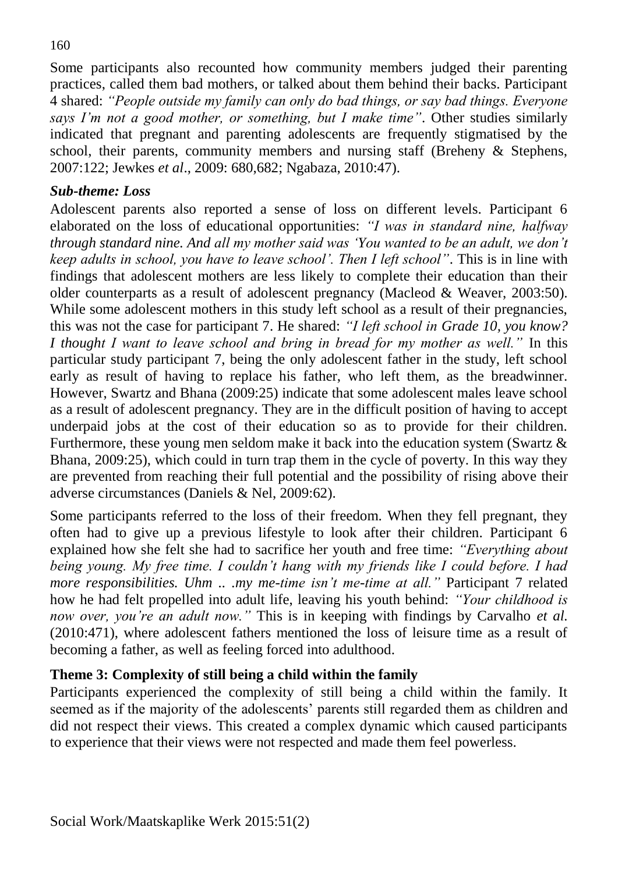Some participants also recounted how community members judged their parenting practices, called them bad mothers, or talked about them behind their backs. Participant 4 shared: *"People outside my family can only do bad things, or say bad things. Everyone says I'm not a good mother, or something, but I make time"*. Other studies similarly indicated that pregnant and parenting adolescents are frequently stigmatised by the school, their parents, community members and nursing staff (Breheny & Stephens, 2007:122; Jewkes *et al*., 2009: 680,682; Ngabaza, 2010:47).

#### *Sub-theme: Loss*

Adolescent parents also reported a sense of loss on different levels. Participant 6 elaborated on the loss of educational opportunities: *"I was in standard nine, halfway through standard nine. And all my mother said was 'You wanted to be an adult, we don't keep adults in school, you have to leave school'. Then I left school"*. This is in line with findings that adolescent mothers are less likely to complete their education than their older counterparts as a result of adolescent pregnancy (Macleod & Weaver, 2003:50). While some adolescent mothers in this study left school as a result of their pregnancies, this was not the case for participant 7. He shared: *"I left school in Grade 10, you know? I thought I want to leave school and bring in bread for my mother as well."* In this particular study participant 7, being the only adolescent father in the study, left school early as result of having to replace his father, who left them, as the breadwinner. However, Swartz and Bhana (2009:25) indicate that some adolescent males leave school as a result of adolescent pregnancy. They are in the difficult position of having to accept underpaid jobs at the cost of their education so as to provide for their children. Furthermore, these young men seldom make it back into the education system (Swartz & Bhana, 2009:25), which could in turn trap them in the cycle of poverty. In this way they are prevented from reaching their full potential and the possibility of rising above their adverse circumstances (Daniels & Nel, 2009:62).

Some participants referred to the loss of their freedom. When they fell pregnant, they often had to give up a previous lifestyle to look after their children. Participant 6 explained how she felt she had to sacrifice her youth and free time: *"Everything about being young. My free time. I couldn't hang with my friends like I could before. I had more responsibilities. Uhm .. .my me-time isn't me-time at all."* Participant 7 related how he had felt propelled into adult life, leaving his youth behind: *"Your childhood is now over, you're an adult now."* This is in keeping with findings by Carvalho *et al.* (2010:471), where adolescent fathers mentioned the loss of leisure time as a result of becoming a father, as well as feeling forced into adulthood.

# **Theme 3: Complexity of still being a child within the family**

Participants experienced the complexity of still being a child within the family. It seemed as if the majority of the adolescents' parents still regarded them as children and did not respect their views. This created a complex dynamic which caused participants to experience that their views were not respected and made them feel powerless.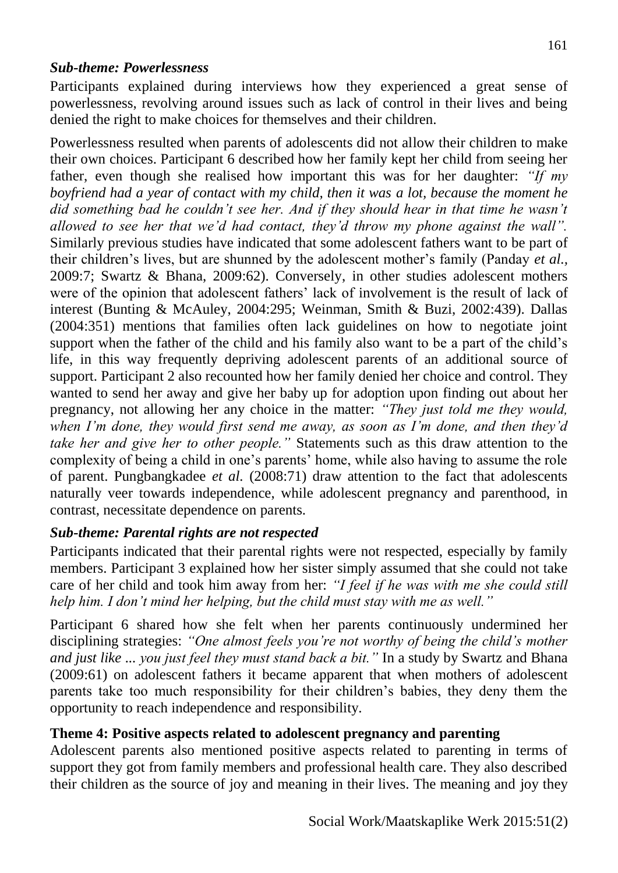# *Sub-theme: Powerlessness*

Participants explained during interviews how they experienced a great sense of powerlessness, revolving around issues such as lack of control in their lives and being denied the right to make choices for themselves and their children.

Powerlessness resulted when parents of adolescents did not allow their children to make their own choices. Participant 6 described how her family kept her child from seeing her father, even though she realised how important this was for her daughter: *"If my boyfriend had a year of contact with my child, then it was a lot, because the moment he did something bad he couldn't see her. And if they should hear in that time he wasn't allowed to see her that we'd had contact, they'd throw my phone against the wall".* Similarly previous studies have indicated that some adolescent fathers want to be part of their children's lives, but are shunned by the adolescent mother's family (Panday *et al.,* 2009:7; Swartz & Bhana, 2009:62). Conversely, in other studies adolescent mothers were of the opinion that adolescent fathers' lack of involvement is the result of lack of interest (Bunting & McAuley, 2004:295; Weinman, Smith & Buzi, 2002:439). Dallas (2004:351) mentions that families often lack guidelines on how to negotiate joint support when the father of the child and his family also want to be a part of the child's life, in this way frequently depriving adolescent parents of an additional source of support. Participant 2 also recounted how her family denied her choice and control. They wanted to send her away and give her baby up for adoption upon finding out about her pregnancy, not allowing her any choice in the matter: *"They just told me they would, when I'm done, they would first send me away, as soon as I'm done, and then they'd take her and give her to other people."* Statements such as this draw attention to the complexity of being a child in one's parents' home, while also having to assume the role of parent. Pungbangkadee *et al.* (2008:71) draw attention to the fact that adolescents naturally veer towards independence, while adolescent pregnancy and parenthood, in contrast, necessitate dependence on parents.

# *Sub-theme: Parental rights are not respected*

Participants indicated that their parental rights were not respected, especially by family members. Participant 3 explained how her sister simply assumed that she could not take care of her child and took him away from her: *"I feel if he was with me she could still help him. I don't mind her helping, but the child must stay with me as well."* 

Participant 6 shared how she felt when her parents continuously undermined her disciplining strategies: *"One almost feels you're not worthy of being the child's mother and just like ... you just feel they must stand back a bit."* In a study by Swartz and Bhana (2009:61) on adolescent fathers it became apparent that when mothers of adolescent parents take too much responsibility for their children's babies, they deny them the opportunity to reach independence and responsibility.

# **Theme 4: Positive aspects related to adolescent pregnancy and parenting**

Adolescent parents also mentioned positive aspects related to parenting in terms of support they got from family members and professional health care. They also described their children as the source of joy and meaning in their lives. The meaning and joy they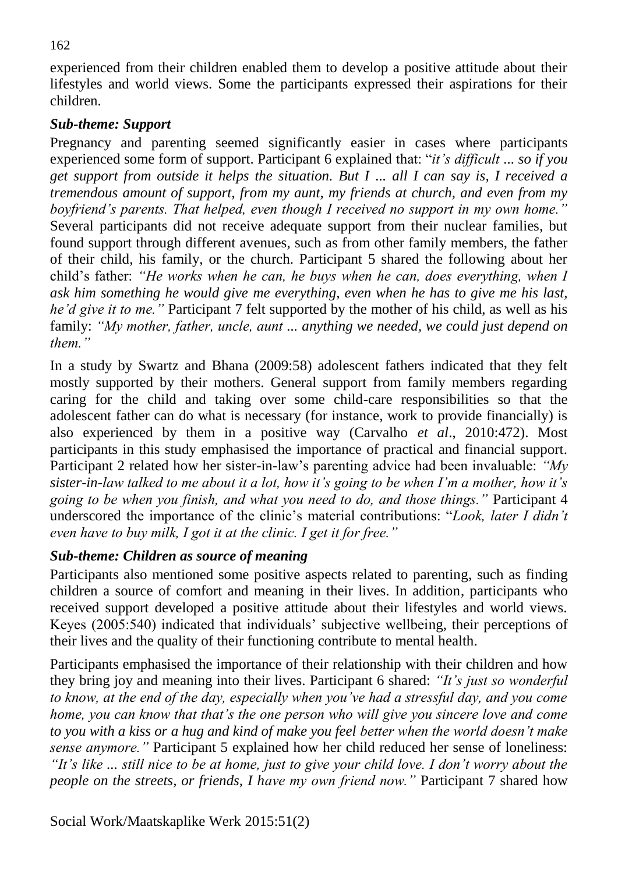experienced from their children enabled them to develop a positive attitude about their lifestyles and world views. Some the participants expressed their aspirations for their children.

### *Sub-theme: Support*

Pregnancy and parenting seemed significantly easier in cases where participants experienced some form of support. Participant 6 explained that: "*it's difficult ... so if you get support from outside it helps the situation. But I ... all I can say is, I received a tremendous amount of support, from my aunt, my friends at church, and even from my boyfriend's parents. That helped, even though I received no support in my own home."* Several participants did not receive adequate support from their nuclear families, but found support through different avenues, such as from other family members, the father of their child, his family, or the church. Participant 5 shared the following about her child's father: *"He works when he can, he buys when he can, does everything, when I ask him something he would give me everything, even when he has to give me his last, he'd give it to me."* Participant 7 felt supported by the mother of his child, as well as his family: *"My mother, father, uncle, aunt ... anything we needed, we could just depend on them."*

In a study by Swartz and Bhana (2009:58) adolescent fathers indicated that they felt mostly supported by their mothers. General support from family members regarding caring for the child and taking over some child-care responsibilities so that the adolescent father can do what is necessary (for instance, work to provide financially) is also experienced by them in a positive way (Carvalho *et al*., 2010:472). Most participants in this study emphasised the importance of practical and financial support. Participant 2 related how her sister-in-law's parenting advice had been invaluable: *"My sister-in-law talked to me about it a lot, how it's going to be when I'm a mother, how it's going to be when you finish, and what you need to do, and those things."* Participant 4 underscored the importance of the clinic's material contributions: "*Look, later I didn't even have to buy milk, I got it at the clinic. I get it for free."*

# *Sub-theme: Children as source of meaning*

Participants also mentioned some positive aspects related to parenting, such as finding children a source of comfort and meaning in their lives. In addition, participants who received support developed a positive attitude about their lifestyles and world views. Keyes (2005:540) indicated that individuals' subjective wellbeing, their perceptions of their lives and the quality of their functioning contribute to mental health.

Participants emphasised the importance of their relationship with their children and how they bring joy and meaning into their lives. Participant 6 shared: *"It's just so wonderful to know, at the end of the day, especially when you've had a stressful day, and you come home, you can know that that's the one person who will give you sincere love and come to you with a kiss or a hug and kind of make you feel better when the world doesn't make sense anymore."* Participant 5 explained how her child reduced her sense of loneliness: *"It's like ... still nice to be at home, just to give your child love. I don't worry about the people on the streets, or friends, I have my own friend now.* "Participant 7 shared how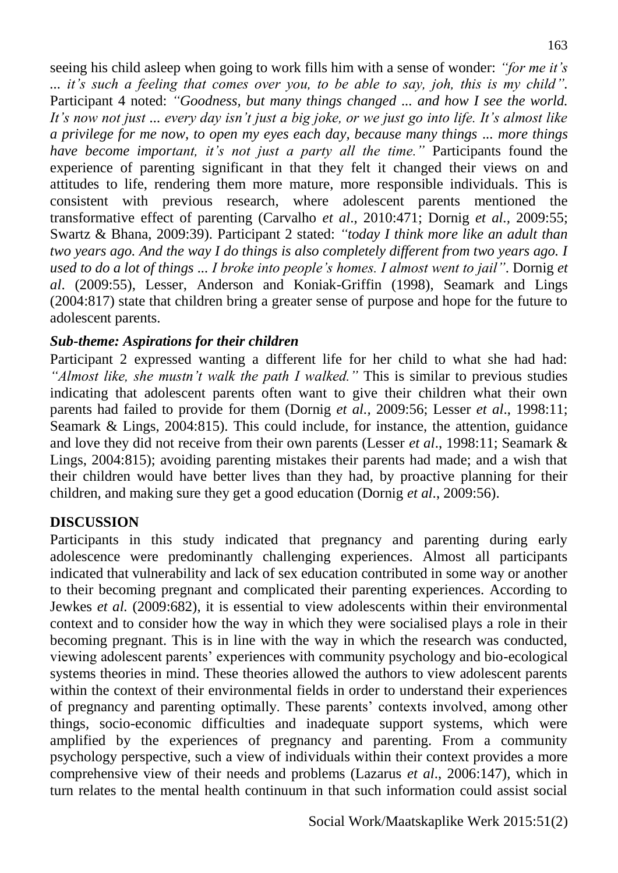seeing his child asleep when going to work fills him with a sense of wonder: *"for me it's ... it's such a feeling that comes over you, to be able to say, joh, this is my child".*  Participant 4 noted: *"Goodness, but many things changed ... and how I see the world. It's now not just ... every day isn't just a big joke, or we just go into life. It's almost like a privilege for me now, to open my eyes each day, because many things ... more things have become important, it's not just a party all the time."* Participants found the experience of parenting significant in that they felt it changed their views on and attitudes to life, rendering them more mature, more responsible individuals. This is consistent with previous research, where adolescent parents mentioned the transformative effect of parenting (Carvalho *et al*., 2010:471; Dornig *et al.,* 2009:55; Swartz & Bhana, 2009:39). Participant 2 stated: *"today I think more like an adult than two years ago. And the way I do things is also completely different from two years ago. I used to do a lot of things ... I broke into people's homes. I almost went to jail"*. Dornig *et al*. (2009:55), Lesser, Anderson and Koniak-Griffin (1998), Seamark and Lings (2004:817) state that children bring a greater sense of purpose and hope for the future to adolescent parents.

# *Sub-theme: Aspirations for their children*

Participant 2 expressed wanting a different life for her child to what she had had: *"Almost like, she mustn't walk the path I walked."* This is similar to previous studies indicating that adolescent parents often want to give their children what their own parents had failed to provide for them (Dornig *et al.,* 2009:56; Lesser *et al*., 1998:11; Seamark & Lings, 2004:815). This could include, for instance, the attention, guidance and love they did not receive from their own parents (Lesser *et al*., 1998:11; Seamark & Lings, 2004:815); avoiding parenting mistakes their parents had made; and a wish that their children would have better lives than they had, by proactive planning for their children, and making sure they get a good education (Dornig *et al*., 2009:56).

#### **DISCUSSION**

Participants in this study indicated that pregnancy and parenting during early adolescence were predominantly challenging experiences. Almost all participants indicated that vulnerability and lack of sex education contributed in some way or another to their becoming pregnant and complicated their parenting experiences. According to Jewkes *et al.* (2009:682), it is essential to view adolescents within their environmental context and to consider how the way in which they were socialised plays a role in their becoming pregnant. This is in line with the way in which the research was conducted, viewing adolescent parents' experiences with community psychology and bio-ecological systems theories in mind. These theories allowed the authors to view adolescent parents within the context of their environmental fields in order to understand their experiences of pregnancy and parenting optimally. These parents' contexts involved, among other things, socio-economic difficulties and inadequate support systems, which were amplified by the experiences of pregnancy and parenting. From a community psychology perspective, such a view of individuals within their context provides a more comprehensive view of their needs and problems (Lazarus *et al*., 2006:147), which in turn relates to the mental health continuum in that such information could assist social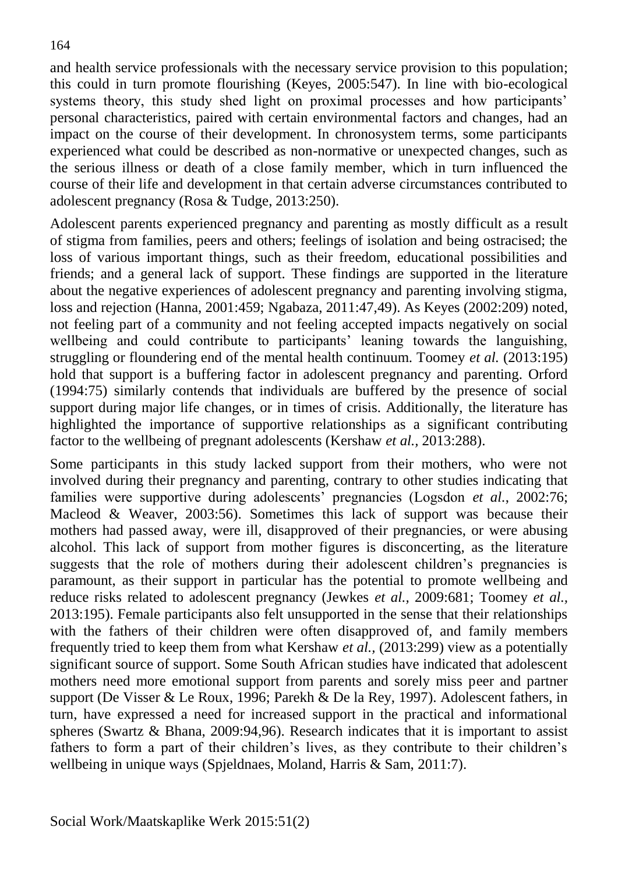and health service professionals with the necessary service provision to this population; this could in turn promote flourishing (Keyes, 2005:547). In line with bio-ecological systems theory, this study shed light on proximal processes and how participants' personal characteristics, paired with certain environmental factors and changes, had an impact on the course of their development. In chronosystem terms, some participants experienced what could be described as non-normative or unexpected changes, such as the serious illness or death of a close family member, which in turn influenced the course of their life and development in that certain adverse circumstances contributed to adolescent pregnancy (Rosa & Tudge, 2013:250).

Adolescent parents experienced pregnancy and parenting as mostly difficult as a result of stigma from families, peers and others; feelings of isolation and being ostracised; the loss of various important things, such as their freedom, educational possibilities and friends; and a general lack of support. These findings are supported in the literature about the negative experiences of adolescent pregnancy and parenting involving stigma, loss and rejection (Hanna, 2001:459; Ngabaza, 2011:47,49). As Keyes (2002:209) noted, not feeling part of a community and not feeling accepted impacts negatively on social wellbeing and could contribute to participants' leaning towards the languishing, struggling or floundering end of the mental health continuum. Toomey *et al.* (2013:195) hold that support is a buffering factor in adolescent pregnancy and parenting. Orford (1994:75) similarly contends that individuals are buffered by the presence of social support during major life changes, or in times of crisis. Additionally, the literature has highlighted the importance of supportive relationships as a significant contributing factor to the wellbeing of pregnant adolescents (Kershaw *et al.,* 2013:288).

Some participants in this study lacked support from their mothers, who were not involved during their pregnancy and parenting, contrary to other studies indicating that families were supportive during adolescents' pregnancies (Logsdon *et al.*, 2002:76; Macleod & Weaver, 2003:56). Sometimes this lack of support was because their mothers had passed away, were ill, disapproved of their pregnancies, or were abusing alcohol. This lack of support from mother figures is disconcerting, as the literature suggests that the role of mothers during their adolescent children's pregnancies is paramount, as their support in particular has the potential to promote wellbeing and reduce risks related to adolescent pregnancy (Jewkes *et al.,* 2009:681; Toomey *et al.,* 2013:195). Female participants also felt unsupported in the sense that their relationships with the fathers of their children were often disapproved of, and family members frequently tried to keep them from what Kershaw *et al.,* (2013:299) view as a potentially significant source of support. Some South African studies have indicated that adolescent mothers need more emotional support from parents and sorely miss peer and partner support (De Visser & Le Roux, 1996; Parekh & De la Rey, 1997). Adolescent fathers, in turn, have expressed a need for increased support in the practical and informational spheres (Swartz & Bhana, 2009:94,96). Research indicates that it is important to assist fathers to form a part of their children's lives, as they contribute to their children's wellbeing in unique ways (Spjeldnaes, Moland, Harris & Sam, 2011:7).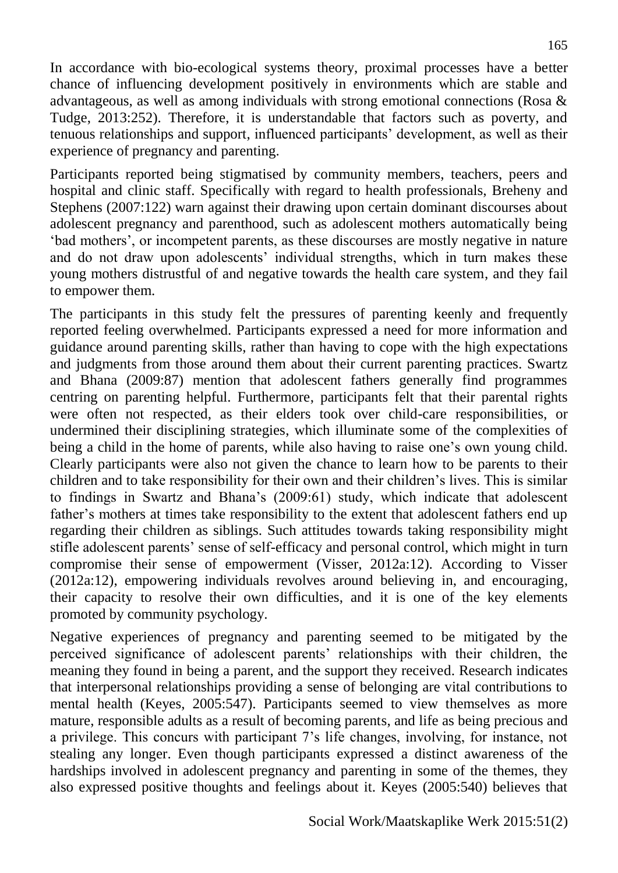In accordance with bio-ecological systems theory, proximal processes have a better chance of influencing development positively in environments which are stable and advantageous, as well as among individuals with strong emotional connections (Rosa & Tudge, 2013:252). Therefore, it is understandable that factors such as poverty, and tenuous relationships and support, influenced participants' development, as well as their experience of pregnancy and parenting.

Participants reported being stigmatised by community members, teachers, peers and hospital and clinic staff. Specifically with regard to health professionals, Breheny and Stephens (2007:122) warn against their drawing upon certain dominant discourses about adolescent pregnancy and parenthood, such as adolescent mothers automatically being 'bad mothers', or incompetent parents, as these discourses are mostly negative in nature and do not draw upon adolescents' individual strengths, which in turn makes these young mothers distrustful of and negative towards the health care system, and they fail to empower them.

The participants in this study felt the pressures of parenting keenly and frequently reported feeling overwhelmed. Participants expressed a need for more information and guidance around parenting skills, rather than having to cope with the high expectations and judgments from those around them about their current parenting practices. Swartz and Bhana (2009:87) mention that adolescent fathers generally find programmes centring on parenting helpful. Furthermore, participants felt that their parental rights were often not respected, as their elders took over child-care responsibilities, or undermined their disciplining strategies, which illuminate some of the complexities of being a child in the home of parents, while also having to raise one's own young child. Clearly participants were also not given the chance to learn how to be parents to their children and to take responsibility for their own and their children's lives. This is similar to findings in Swartz and Bhana's (2009:61) study, which indicate that adolescent father's mothers at times take responsibility to the extent that adolescent fathers end up regarding their children as siblings. Such attitudes towards taking responsibility might stifle adolescent parents' sense of self-efficacy and personal control, which might in turn compromise their sense of empowerment (Visser, 2012a:12). According to Visser (2012a:12), empowering individuals revolves around believing in, and encouraging, their capacity to resolve their own difficulties, and it is one of the key elements promoted by community psychology.

Negative experiences of pregnancy and parenting seemed to be mitigated by the perceived significance of adolescent parents' relationships with their children, the meaning they found in being a parent, and the support they received. Research indicates that interpersonal relationships providing a sense of belonging are vital contributions to mental health (Keyes, 2005:547). Participants seemed to view themselves as more mature, responsible adults as a result of becoming parents, and life as being precious and a privilege. This concurs with participant 7's life changes, involving, for instance, not stealing any longer. Even though participants expressed a distinct awareness of the hardships involved in adolescent pregnancy and parenting in some of the themes, they also expressed positive thoughts and feelings about it. Keyes (2005:540) believes that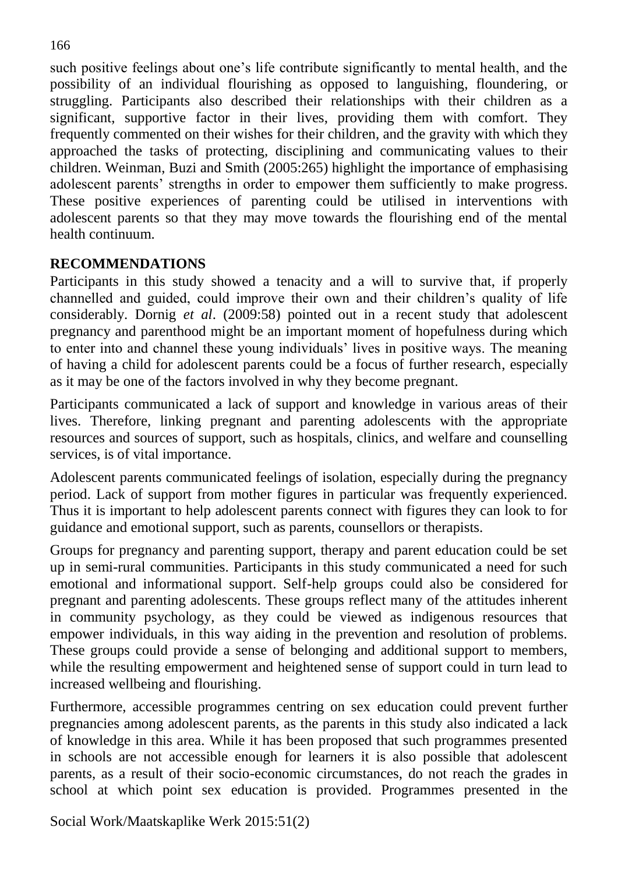such positive feelings about one's life contribute significantly to mental health, and the possibility of an individual flourishing as opposed to languishing, floundering, or struggling. Participants also described their relationships with their children as a significant, supportive factor in their lives, providing them with comfort. They frequently commented on their wishes for their children, and the gravity with which they approached the tasks of protecting, disciplining and communicating values to their children. Weinman, Buzi and Smith (2005:265) highlight the importance of emphasising adolescent parents' strengths in order to empower them sufficiently to make progress. These positive experiences of parenting could be utilised in interventions with adolescent parents so that they may move towards the flourishing end of the mental health continuum.

# **RECOMMENDATIONS**

Participants in this study showed a tenacity and a will to survive that, if properly channelled and guided, could improve their own and their children's quality of life considerably. Dornig *et al*. (2009:58) pointed out in a recent study that adolescent pregnancy and parenthood might be an important moment of hopefulness during which to enter into and channel these young individuals' lives in positive ways. The meaning of having a child for adolescent parents could be a focus of further research, especially as it may be one of the factors involved in why they become pregnant.

Participants communicated a lack of support and knowledge in various areas of their lives. Therefore, linking pregnant and parenting adolescents with the appropriate resources and sources of support, such as hospitals, clinics, and welfare and counselling services, is of vital importance.

Adolescent parents communicated feelings of isolation, especially during the pregnancy period. Lack of support from mother figures in particular was frequently experienced. Thus it is important to help adolescent parents connect with figures they can look to for guidance and emotional support, such as parents, counsellors or therapists.

Groups for pregnancy and parenting support, therapy and parent education could be set up in semi-rural communities. Participants in this study communicated a need for such emotional and informational support. Self-help groups could also be considered for pregnant and parenting adolescents. These groups reflect many of the attitudes inherent in community psychology, as they could be viewed as indigenous resources that empower individuals, in this way aiding in the prevention and resolution of problems. These groups could provide a sense of belonging and additional support to members, while the resulting empowerment and heightened sense of support could in turn lead to increased wellbeing and flourishing.

Furthermore, accessible programmes centring on sex education could prevent further pregnancies among adolescent parents, as the parents in this study also indicated a lack of knowledge in this area. While it has been proposed that such programmes presented in schools are not accessible enough for learners it is also possible that adolescent parents, as a result of their socio-economic circumstances, do not reach the grades in school at which point sex education is provided. Programmes presented in the

Social Work/Maatskaplike Werk 2015:51(2)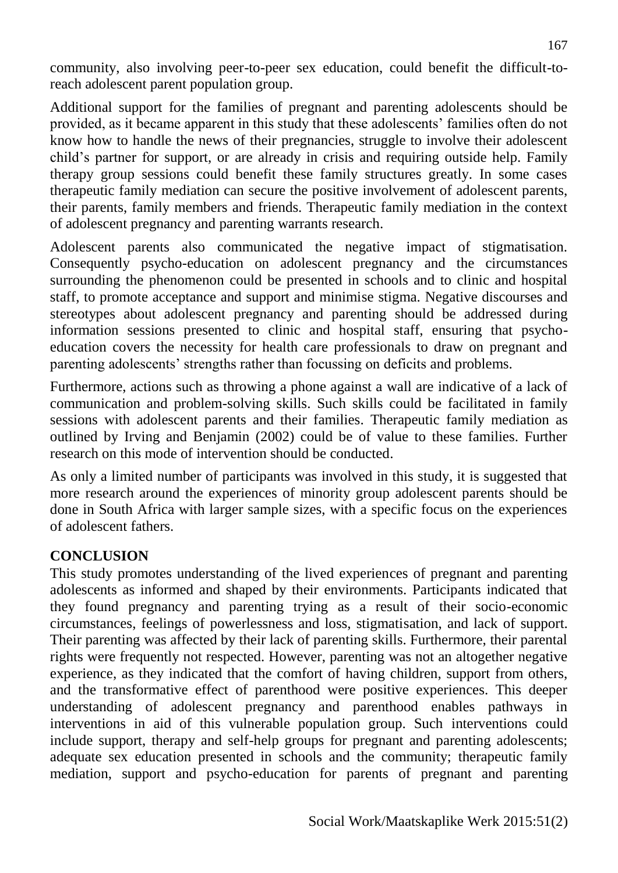community, also involving peer-to-peer sex education, could benefit the difficult-toreach adolescent parent population group.

Additional support for the families of pregnant and parenting adolescents should be provided, as it became apparent in this study that these adolescents' families often do not know how to handle the news of their pregnancies, struggle to involve their adolescent child's partner for support, or are already in crisis and requiring outside help. Family therapy group sessions could benefit these family structures greatly. In some cases therapeutic family mediation can secure the positive involvement of adolescent parents, their parents, family members and friends. Therapeutic family mediation in the context of adolescent pregnancy and parenting warrants research.

Adolescent parents also communicated the negative impact of stigmatisation. Consequently psycho-education on adolescent pregnancy and the circumstances surrounding the phenomenon could be presented in schools and to clinic and hospital staff, to promote acceptance and support and minimise stigma. Negative discourses and stereotypes about adolescent pregnancy and parenting should be addressed during information sessions presented to clinic and hospital staff, ensuring that psychoeducation covers the necessity for health care professionals to draw on pregnant and parenting adolescents' strengths rather than focussing on deficits and problems.

Furthermore, actions such as throwing a phone against a wall are indicative of a lack of communication and problem-solving skills. Such skills could be facilitated in family sessions with adolescent parents and their families. Therapeutic family mediation as outlined by Irving and Benjamin (2002) could be of value to these families. Further research on this mode of intervention should be conducted.

As only a limited number of participants was involved in this study, it is suggested that more research around the experiences of minority group adolescent parents should be done in South Africa with larger sample sizes, with a specific focus on the experiences of adolescent fathers.

# **CONCLUSION**

This study promotes understanding of the lived experiences of pregnant and parenting adolescents as informed and shaped by their environments. Participants indicated that they found pregnancy and parenting trying as a result of their socio-economic circumstances, feelings of powerlessness and loss, stigmatisation, and lack of support. Their parenting was affected by their lack of parenting skills. Furthermore, their parental rights were frequently not respected. However, parenting was not an altogether negative experience, as they indicated that the comfort of having children, support from others, and the transformative effect of parenthood were positive experiences. This deeper understanding of adolescent pregnancy and parenthood enables pathways in interventions in aid of this vulnerable population group. Such interventions could include support, therapy and self-help groups for pregnant and parenting adolescents; adequate sex education presented in schools and the community; therapeutic family mediation, support and psycho-education for parents of pregnant and parenting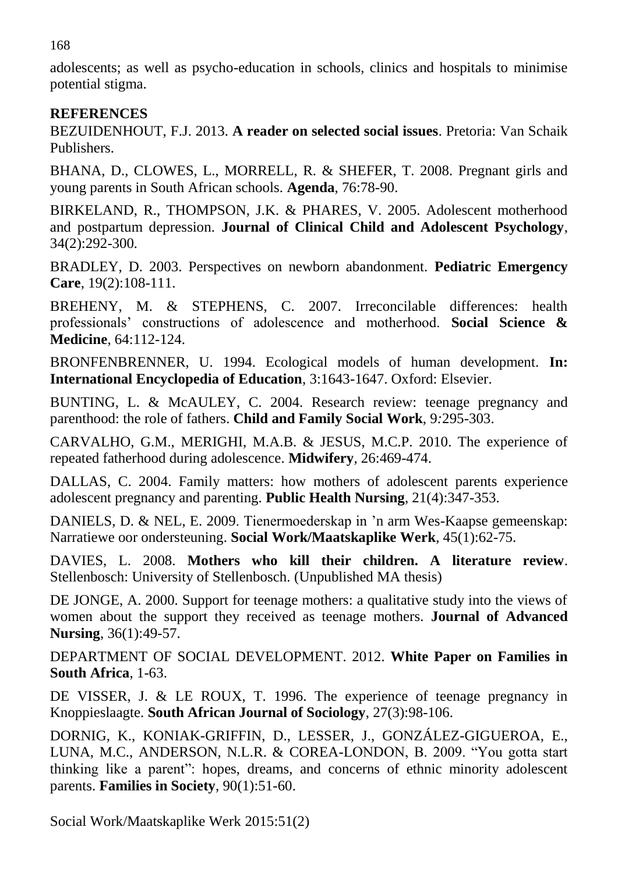168

adolescents; as well as psycho-education in schools, clinics and hospitals to minimise potential stigma.

# **REFERENCES**

BEZUIDENHOUT, F.J. 2013. **A reader on selected social issues**. Pretoria: Van Schaik Publishers.

BHANA, D., CLOWES, L., MORRELL, R. & SHEFER, T. 2008. Pregnant girls and young parents in South African schools. **Agenda**, 76:78-90.

BIRKELAND, R., THOMPSON, J.K. & PHARES, V. 2005. Adolescent motherhood and postpartum depression. **Journal of Clinical Child and Adolescent Psychology**, 34(2):292-300*.*

BRADLEY, D. 2003. Perspectives on newborn abandonment. **Pediatric Emergency Care**, 19(2):108-111.

BREHENY, M. & STEPHENS, C. 2007. Irreconcilable differences: health professionals' constructions of adolescence and motherhood. **Social Science & Medicine**, 64:112-124.

BRONFENBRENNER, U. 1994. Ecological models of human development. **In: International Encyclopedia of Education**, 3:1643-1647. Oxford: Elsevier.

BUNTING, L. & McAULEY, C. 2004. Research review: teenage pregnancy and parenthood: the role of fathers. **Child and Family Social Work**, 9*:*295-303.

CARVALHO, G.M., MERIGHI, M.A.B. & JESUS, M.C.P. 2010. The experience of repeated fatherhood during adolescence. **Midwifery***,* 26:469-474.

DALLAS, C. 2004. Family matters: how mothers of adolescent parents experience adolescent pregnancy and parenting. **Public Health Nursing**, 21(4):347-353.

DANIELS, D. & NEL, E. 2009. Tienermoederskap in 'n arm Wes-Kaapse gemeenskap: Narratiewe oor ondersteuning. **Social Work/Maatskaplike Werk**, 45(1):62-75.

DAVIES, L. 2008. **Mothers who kill their children. A literature review**. Stellenbosch: University of Stellenbosch. (Unpublished MA thesis)

DE JONGE, A. 2000. Support for teenage mothers: a qualitative study into the views of women about the support they received as teenage mothers. **Journal of Advanced Nursing**, 36(1):49-57.

DEPARTMENT OF SOCIAL DEVELOPMENT. 2012. **White Paper on Families in South Africa**, 1-63.

DE VISSER, J. & LE ROUX, T. 1996. The experience of teenage pregnancy in Knoppieslaagte. **South African Journal of Sociology**, 27(3):98-106.

DORNIG, K., KONIAK-GRIFFIN, D., LESSER, J., GONZÁLEZ-GIGUEROA, E., LUNA, M.C., ANDERSON, N.L.R. & COREA-LONDON, B. 2009. "You gotta start thinking like a parent": hopes, dreams, and concerns of ethnic minority adolescent parents. **Families in Society**, 90(1):51-60.

Social Work/Maatskaplike Werk 2015:51(2)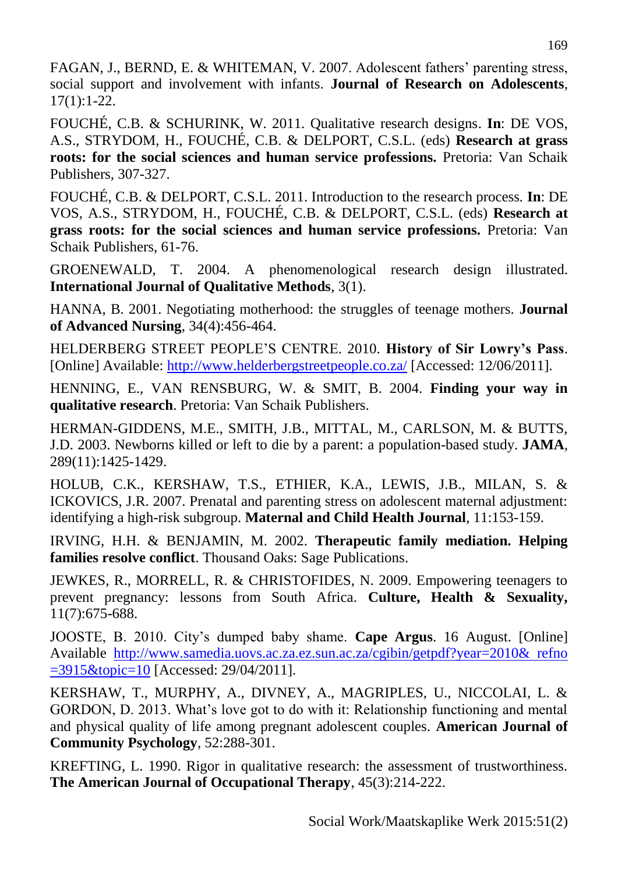FAGAN, J., BERND, E. & WHITEMAN, V. 2007. Adolescent fathers' parenting stress, social support and involvement with infants. **Journal of Research on Adolescents**, 17(1):1-22.

FOUCHÉ, C.B. & SCHURINK, W. 2011. Qualitative research designs. **In**: DE VOS, A.S., STRYDOM, H., FOUCHÉ, C.B. & DELPORT, C.S.L. (eds) **Research at grass roots: for the social sciences and human service professions.** Pretoria: Van Schaik Publishers, 307-327.

FOUCHÉ, C.B. & DELPORT, C.S.L. 2011. Introduction to the research process*.* **In**: DE VOS, A.S., STRYDOM, H., FOUCHÉ, C.B. & DELPORT, C.S.L. (eds) **Research at grass roots: for the social sciences and human service professions.** Pretoria: Van Schaik Publishers, 61-76.

GROENEWALD, T. 2004. A phenomenological research design illustrated. **International Journal of Qualitative Methods**, 3(1).

HANNA, B. 2001. Negotiating motherhood: the struggles of teenage mothers. **Journal of Advanced Nursing**, 34(4):456-464.

HELDERBERG STREET PEOPLE'S CENTRE. 2010. **History of Sir Lowry's Pass**. [Online] Available:<http://www.helderbergstreetpeople.co.za/>[Accessed: 12/06/2011].

HENNING, E., VAN RENSBURG, W. & SMIT, B. 2004. **Finding your way in qualitative research**. Pretoria: Van Schaik Publishers.

HERMAN-GIDDENS, M.E., SMITH, J.B., MITTAL, M., CARLSON, M. & BUTTS, J.D. 2003. Newborns killed or left to die by a parent: a population-based study. **JAMA***,* 289(11):1425-1429.

HOLUB, C.K., KERSHAW, T.S., ETHIER, K.A., LEWIS, J.B., MILAN, S. & ICKOVICS, J.R. 2007. Prenatal and parenting stress on adolescent maternal adjustment: identifying a high-risk subgroup. **Maternal and Child Health Journal**, 11:153-159.

IRVING, H.H. & BENJAMIN, M. 2002. **Therapeutic family mediation. Helping families resolve conflict**. Thousand Oaks: Sage Publications.

JEWKES, R., MORRELL, R. & CHRISTOFIDES, N. 2009. Empowering teenagers to prevent pregnancy: lessons from South Africa. **Culture, Health & Sexuality,** 11(7):675-688.

JOOSTE, B. 2010. City's dumped baby shame. **Cape Argus**. 16 August. [Online] Available [http://www.samedia.uovs.ac.za.ez.sun.ac.za/cgibin/getpdf?year=2010& refno](http://www.samedia.uovs.ac.za.ez.sun.ac.za/cgibin/getpdf?year=2010&%20refno%20=3915&topic=10)  [=3915&topic=10](http://www.samedia.uovs.ac.za.ez.sun.ac.za/cgibin/getpdf?year=2010&%20refno%20=3915&topic=10) [Accessed: 29/04/2011].

KERSHAW, T., MURPHY, A., DIVNEY, A., MAGRIPLES, U., NICCOLAI, L. & GORDON, D. 2013. What's love got to do with it: Relationship functioning and mental and physical quality of life among pregnant adolescent couples. **American Journal of Community Psychology**, 52:288-301.

KREFTING, L. 1990. Rigor in qualitative research: the assessment of trustworthiness. **The American Journal of Occupational Therapy**, 45(3):214-222.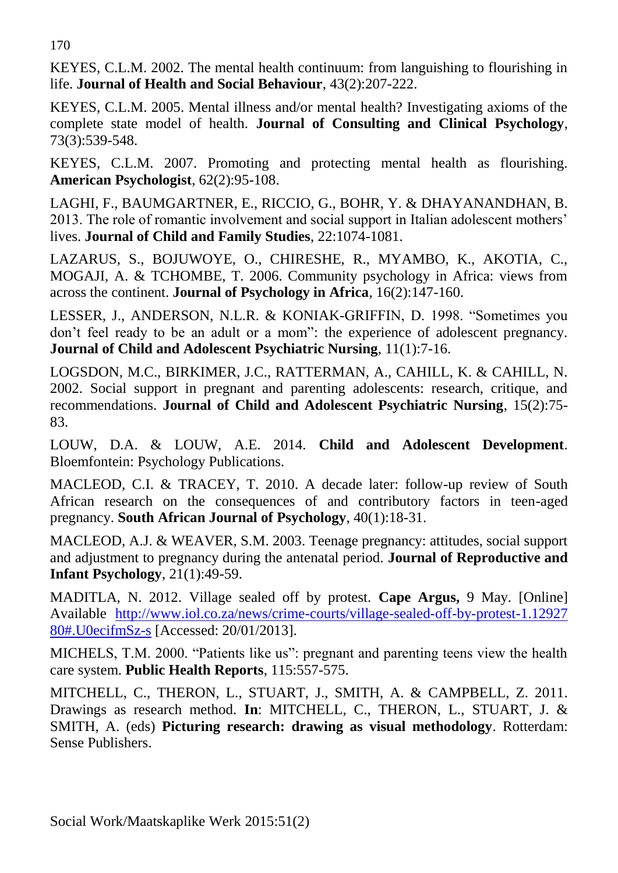170

KEYES, C.L.M. 2002. The mental health continuum: from languishing to flourishing in life. **Journal of Health and Social Behaviour**, 43(2):207-222.

KEYES, C.L.M. 2005. Mental illness and/or mental health? Investigating axioms of the complete state model of health. **Journal of Consulting and Clinical Psychology**, 73(3):539-548.

KEYES, C.L.M. 2007. Promoting and protecting mental health as flourishing. **American Psychologist**, 62(2):95-108.

LAGHI, F., BAUMGARTNER, E., RICCIO, G., BOHR, Y. & DHAYANANDHAN, B. 2013. The role of romantic involvement and social support in Italian adolescent mothers' lives. **Journal of Child and Family Studies**, 22:1074-1081.

LAZARUS, S., BOJUWOYE, O., CHIRESHE, R., MYAMBO, K., AKOTIA, C., MOGAJI, A. & TCHOMBE, T. 2006. Community psychology in Africa: views from across the continent. **Journal of Psychology in Africa**, 16(2):147-160.

LESSER, J., ANDERSON, N.L.R. & KONIAK-GRIFFIN, D. 1998. "Sometimes you don't feel ready to be an adult or a mom": the experience of adolescent pregnancy. **Journal of Child and Adolescent Psychiatric Nursing**, 11(1):7-16.

LOGSDON, M.C., BIRKIMER, J.C., RATTERMAN, A., CAHILL, K. & CAHILL, N. 2002. Social support in pregnant and parenting adolescents: research, critique, and recommendations. **Journal of Child and Adolescent Psychiatric Nursing**, 15(2):75- 83.

LOUW, D.A. & LOUW, A.E. 2014. **Child and Adolescent Development**. Bloemfontein: Psychology Publications.

MACLEOD, C.I. & TRACEY, T. 2010. A decade later: follow-up review of South African research on the consequences of and contributory factors in teen-aged pregnancy. **South African Journal of Psychology***,* 40(1):18-31.

MACLEOD, A.J. & WEAVER, S.M. 2003. Teenage pregnancy: attitudes, social support and adjustment to pregnancy during the antenatal period. **Journal of Reproductive and Infant Psychology**, 21(1):49-59.

MADITLA, N. 2012. Village sealed off by protest. **Cape Argus,** 9 May. [Online] Available [http://www.iol.co.za/news/crime-courts/village-sealed-off-by-protest-1.12927](http://www.iol.co.za/news/crime-courts/village-sealed-off-by-protest-1.12927%2080#.U0ecifmSz-s)  [80#.U0ecifmSz-s](http://www.iol.co.za/news/crime-courts/village-sealed-off-by-protest-1.12927%2080#.U0ecifmSz-s) [Accessed: 20/01/2013].

MICHELS, T.M. 2000. "Patients like us": pregnant and parenting teens view the health care system. **Public Health Reports**, 115:557-575.

MITCHELL, C., THERON, L., STUART, J., SMITH, A. & CAMPBELL, Z. 2011. Drawings as research method. **In**: MITCHELL, C., THERON, L., STUART, J. & SMITH, A. (eds) **Picturing research: drawing as visual methodology**. Rotterdam: Sense Publishers.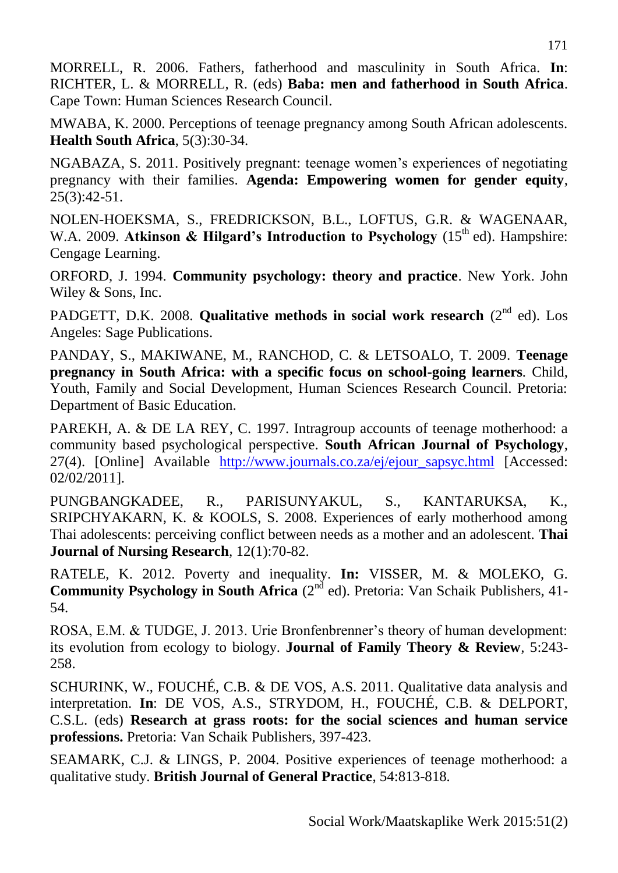MORRELL, R. 2006. Fathers, fatherhood and masculinity in South Africa. **In**: RICHTER, L. & MORRELL, R. (eds) **Baba: men and fatherhood in South Africa**. Cape Town: Human Sciences Research Council.

MWABA, K. 2000. Perceptions of teenage pregnancy among South African adolescents. **Health South Africa**, 5(3):30-34.

NGABAZA, S. 2011. Positively pregnant: teenage women's experiences of negotiating pregnancy with their families. **Agenda: Empowering women for gender equity**, 25(3):42-51.

NOLEN-HOEKSMA, S., FREDRICKSON, B.L., LOFTUS, G.R. & WAGENAAR, W.A. 2009. **Atkinson & Hilgard's Introduction to Psychology** (15<sup>th</sup> ed). Hampshire: Cengage Learning.

ORFORD, J. 1994. **Community psychology: theory and practice**. New York. John Wiley & Sons, Inc.

PADGETT, D.K. 2008. **Qualitative methods in social work research** (2<sup>nd</sup> ed). Los Angeles: Sage Publications.

PANDAY, S., MAKIWANE, M., RANCHOD, C. & LETSOALO, T. 2009. **Teenage pregnancy in South Africa: with a specific focus on school-going learners***.* Child, Youth, Family and Social Development, Human Sciences Research Council. Pretoria: Department of Basic Education.

PAREKH, A. & DE LA REY, C. 1997. Intragroup accounts of teenage motherhood: a community based psychological perspective. **South African Journal of Psychology**, 27(4). [Online] Available [http://www.journals.co.za/ej/ejour\\_sapsyc.html](http://www.journals.co.za/ej/ejour_sapsyc.html) [Accessed: 02/02/2011].

PUNGBANGKADEE, R., PARISUNYAKUL, S., KANTARUKSA, K., SRIPCHYAKARN, K. & KOOLS, S. 2008. Experiences of early motherhood among Thai adolescents: perceiving conflict between needs as a mother and an adolescent. **Thai Journal of Nursing Research***,* 12(1):70-82.

RATELE, K. 2012. Poverty and inequality. **In:** VISSER, M. & MOLEKO, G. **Community Psychology in South Africa** (2<sup>nd</sup> ed). Pretoria: Van Schaik Publishers, 41-54.

ROSA, E.M. & TUDGE, J. 2013. Urie Bronfenbrenner's theory of human development: its evolution from ecology to biology. **Journal of Family Theory & Review***,* 5:243- 258.

SCHURINK, W., FOUCHÉ, C.B. & DE VOS, A.S. 2011. Qualitative data analysis and interpretation. **In**: DE VOS, A.S., STRYDOM, H., FOUCHÉ, C.B. & DELPORT, C.S.L. (eds) **Research at grass roots: for the social sciences and human service professions.** Pretoria: Van Schaik Publishers, 397-423.

SEAMARK, C.J. & LINGS, P. 2004. Positive experiences of teenage motherhood: a qualitative study. **British Journal of General Practice**, 54:813-818*.*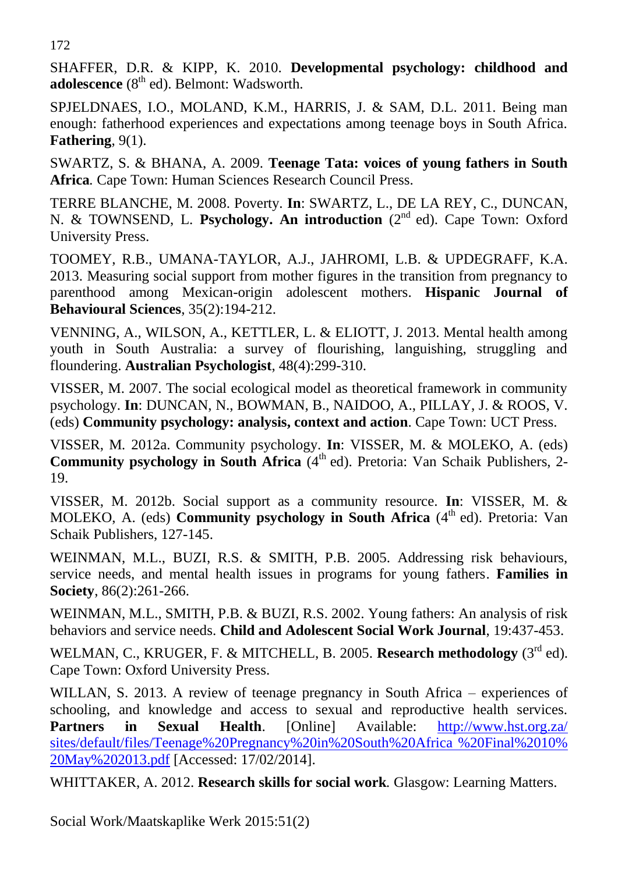172

SHAFFER, D.R. & KIPP, K. 2010. **Developmental psychology: childhood and adolescence** (8<sup>th</sup> ed). Belmont: Wadsworth.

SPJELDNAES, I.O., MOLAND, K.M., HARRIS, J. & SAM, D.L. 2011. Being man enough: fatherhood experiences and expectations among teenage boys in South Africa. **Fathering**, 9(1).

SWARTZ, S. & BHANA, A. 2009. **Teenage Tata: voices of young fathers in South Africa***.* Cape Town: Human Sciences Research Council Press.

TERRE BLANCHE, M. 2008. Poverty. **In**: SWARTZ, L., DE LA REY, C., DUNCAN, N. & TOWNSEND, L. Psychology. An introduction (2<sup>nd</sup> ed). Cape Town: Oxford University Press.

TOOMEY, R.B., UMANA-TAYLOR, A.J., JAHROMI, L.B. & UPDEGRAFF, K.A. 2013. Measuring social support from mother figures in the transition from pregnancy to parenthood among Mexican-origin adolescent mothers. **Hispanic Journal of Behavioural Sciences**, 35(2):194-212.

VENNING, A., WILSON, A., KETTLER, L. & ELIOTT, J. 2013. Mental health among youth in South Australia: a survey of flourishing, languishing, struggling and floundering. **Australian Psychologist**, 48(4):299-310.

VISSER, M. 2007. The social ecological model as theoretical framework in community psychology. **In**: DUNCAN, N., BOWMAN, B., NAIDOO, A., PILLAY, J. & ROOS, V. (eds) **Community psychology: analysis, context and action**. Cape Town: UCT Press.

VISSER, M*.* 2012a. Community psychology. **In**: VISSER, M. & MOLEKO, A. (eds) **Community psychology in South Africa** (4<sup>th</sup> ed). Pretoria: Van Schaik Publishers, 2-19.

VISSER, M. 2012b. Social support as a community resource. **In**: VISSER, M. & MOLEKO, A. (eds) **Community psychology in South Africa** (4<sup>th</sup> ed). Pretoria: Van Schaik Publishers, 127-145.

WEINMAN, M.L., BUZI, R.S. & SMITH, P.B. 2005. Addressing risk behaviours, service needs, and mental health issues in programs for young fathers. **Families in Society**, 86(2):261-266.

WEINMAN, M.L., SMITH, P.B. & BUZI, R.S. 2002. Young fathers: An analysis of risk behaviors and service needs. **Child and Adolescent Social Work Journal**, 19:437-453.

WELMAN, C., KRUGER, F. & MITCHELL, B. 2005. Research methodology (3<sup>rd</sup> ed). Cape Town: Oxford University Press.

WILLAN, S. 2013. A review of teenage pregnancy in South Africa – experiences of schooling, and knowledge and access to sexual and reproductive health services. **Partners in Sexual Health**. [Online] Available: [http://www.hst.org.za/](http://www.hst.org.za/%20sites/default/files/Teenage%1f%20Pregnancy%20in%20South%20Africa%20%20Final%2010%25%2020May%202013.pdf)  [sites/default/files/Teenage%20Pregnancy%20in%20South%20Africa %20Final%2010%](http://www.hst.org.za/%20sites/default/files/Teenage%1f%20Pregnancy%20in%20South%20Africa%20%20Final%2010%25%2020May%202013.pdf)  [20May%202013.pdf](http://www.hst.org.za/%20sites/default/files/Teenage%1f%20Pregnancy%20in%20South%20Africa%20%20Final%2010%25%2020May%202013.pdf) [Accessed: 17/02/2014].

WHITTAKER, A. 2012. **Research skills for social work***.* Glasgow: Learning Matters.